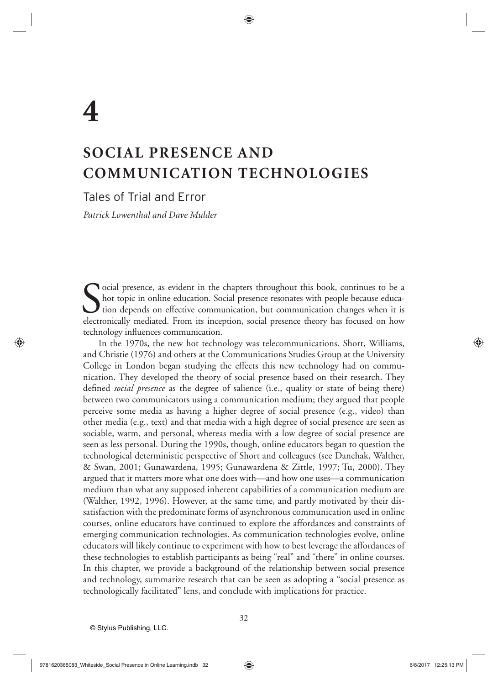# **SOCIAL PRESENCE AND COMMUNICATION TECHNOLOGIES**

Tales of Trial and Error

*Patrick Lowenthal and Dave Mulder*

Social presence, as evident in the chapters throughout this book, continues to be a hot topic in online education. Social presence resonates with people because education depends on effective communication, but communicati hot topic in online education. Social presence resonates with people because educa-U tion depends on effective communication, but communication changes when it is electronically mediated. From its inception, social presence theory has focused on how technology influences communication.

In the 1970s, the new hot technology was telecommunications. Short, Williams, and Christie (1976) and others at the Communications Studies Group at the University College in London began studying the effects this new technology had on communication. They developed the theory of social presence based on their research. They defined *social presence* as the degree of salience (i.e., quality or state of being there) between two communicators using a communication medium; they argued that people perceive some media as having a higher degree of social presence (e.g., video) than other media (e.g., text) and that media with a high degree of social presence are seen as sociable, warm, and personal, whereas media with a low degree of social presence are seen as less personal. During the 1990s, though, online educators began to question the technological deterministic perspective of Short and colleagues (see Danchak, Walther, & Swan, 2001; Gunawardena, 1995; Gunawardena & Zittle, 1997; Tu, 2000). They argued that it matters more what one does with—and how one uses—a communication medium than what any supposed inherent capabilities of a communication medium are (Walther, 1992, 1996). However, at the same time, and partly motivated by their dissatisfaction with the predominate forms of asynchronous communication used in online courses, online educators have continued to explore the affordances and constraints of emerging communication technologies. As communication technologies evolve, online educators will likely continue to experiment with how to best leverage the affordances of these technologies to establish participants as being "real" and "there" in online courses. In this chapter, we provide a background of the relationship between social presence and technology, summarize research that can be seen as adopting a "social presence as technologically facilitated" lens, and conclude with implications for practice.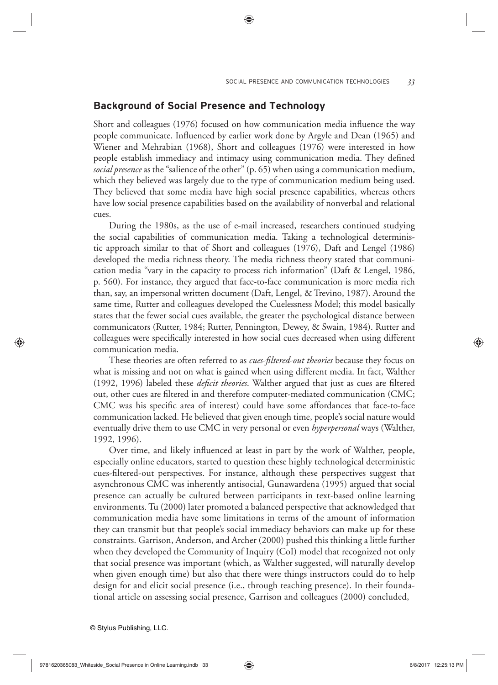## **Background of Social Presence and Technology**

Short and colleagues (1976) focused on how communication media influence the way people communicate. Influenced by earlier work done by Argyle and Dean (1965) and Wiener and Mehrabian (1968), Short and colleagues (1976) were interested in how people establish immediacy and intimacy using communication media. They defined *social presence* as the "salience of the other" (p. 65) when using a communication medium, which they believed was largely due to the type of communication medium being used. They believed that some media have high social presence capabilities, whereas others have low social presence capabilities based on the availability of nonverbal and relational cues.

During the 1980s, as the use of e-mail increased, researchers continued studying the social capabilities of communication media. Taking a technological deterministic approach similar to that of Short and colleagues (1976), Daft and Lengel (1986) developed the media richness theory. The media richness theory stated that communication media "vary in the capacity to process rich information" (Daft & Lengel, 1986, p. 560). For instance, they argued that face-to-face communication is more media rich than, say, an impersonal written document (Daft, Lengel, & Trevino, 1987). Around the same time, Rutter and colleagues developed the Cuelessness Model; this model basically states that the fewer social cues available, the greater the psychological distance between communicators (Rutter, 1984; Rutter, Pennington, Dewey, & Swain, 1984). Rutter and colleagues were specifically interested in how social cues decreased when using different communication media.

These theories are often referred to as *cues-fi ltered-out theories* because they focus on what is missing and not on what is gained when using different media. In fact, Walther (1992, 1996) labeled these *deficit theories*. Walther argued that just as cues are filtered out, other cues are filtered in and therefore computer-mediated communication (CMC; CMC was his specific area of interest) could have some affordances that face-to-face communication lacked. He believed that given enough time, people's social nature would eventually drive them to use CMC in very personal or even *hyperpersonal* ways (Walther, 1992, 1996).

Over time, and likely influenced at least in part by the work of Walther, people, especially online educators, started to question these highly technological deterministic cues-fi ltered-out perspectives. For instance, although these perspectives suggest that asynchronous CMC was inherently antisocial, Gunawardena (1995) argued that social presence can actually be cultured between participants in text-based online learning environments. Tu (2000) later promoted a balanced perspective that acknowledged that communication media have some limitations in terms of the amount of information they can transmit but that people's social immediacy behaviors can make up for these constraints. Garrison, Anderson, and Archer (2000) pushed this thinking a little further when they developed the Community of Inquiry (CoI) model that recognized not only that social presence was important (which, as Walther suggested, will naturally develop when given enough time) but also that there were things instructors could do to help design for and elicit social presence (i.e., through teaching presence). In their foundational article on assessing social presence, Garrison and colleagues (2000) concluded,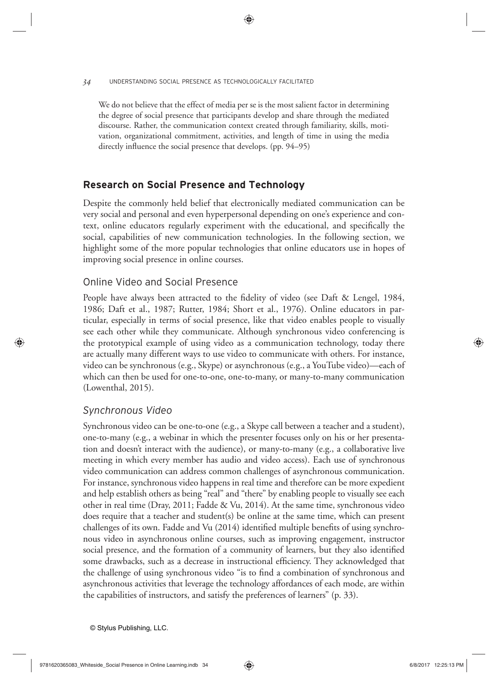#### *34* UNDERSTANDING SOCIAL PRESENCE AS TECHNOLOGICALLY FACILITATED

We do not believe that the effect of media per se is the most salient factor in determining the degree of social presence that participants develop and share through the mediated discourse. Rather, the communication context created through familiarity, skills, motivation, organizational commitment, activities, and length of time in using the media directly influence the social presence that develops. (pp.  $94-95$ )

# **Research on Social Presence and Technology**

Despite the commonly held belief that electronically mediated communication can be very social and personal and even hyperpersonal depending on one's experience and context, online educators regularly experiment with the educational, and specifically the social, capabilities of new communication technologies. In the following section, we highlight some of the more popular technologies that online educators use in hopes of improving social presence in online courses.

## Online Video and Social Presence

People have always been attracted to the fidelity of video (see Daft & Lengel, 1984, 1986; Daft et al., 1987; Rutter, 1984; Short et al., 1976). Online educators in particular, especially in terms of social presence, like that video enables people to visually see each other while they communicate. Although synchronous video conferencing is the prototypical example of using video as a communication technology, today there are actually many different ways to use video to communicate with others. For instance, video can be synchronous (e.g., Skype) or asynchronous (e.g., a YouTube video)—each of which can then be used for one-to-one, one-to-many, or many-to-many communication (Lowenthal, 2015).

# *Synchronous Video*

Synchronous video can be one-to-one (e.g., a Skype call between a teacher and a student), one-to-many (e.g., a webinar in which the presenter focuses only on his or her presentation and doesn't interact with the audience), or many-to-many (e.g., a collaborative live meeting in which every member has audio and video access). Each use of synchronous video communication can address common challenges of asynchronous communication. For instance, synchronous video happens in real time and therefore can be more expedient and help establish others as being "real" and "there" by enabling people to visually see each other in real time (Dray, 2011; Fadde & Vu, 2014). At the same time, synchronous video does require that a teacher and student(s) be online at the same time, which can present challenges of its own. Fadde and Vu  $(2014)$  identified multiple benefits of using synchronous video in asynchronous online courses, such as improving engagement, instructor social presence, and the formation of a community of learners, but they also identified some drawbacks, such as a decrease in instructional efficiency. They acknowledged that the challenge of using synchronous video "is to find a combination of synchronous and asynchronous activities that leverage the technology affordances of each mode, are within the capabilities of instructors, and satisfy the preferences of learners" (p. 33).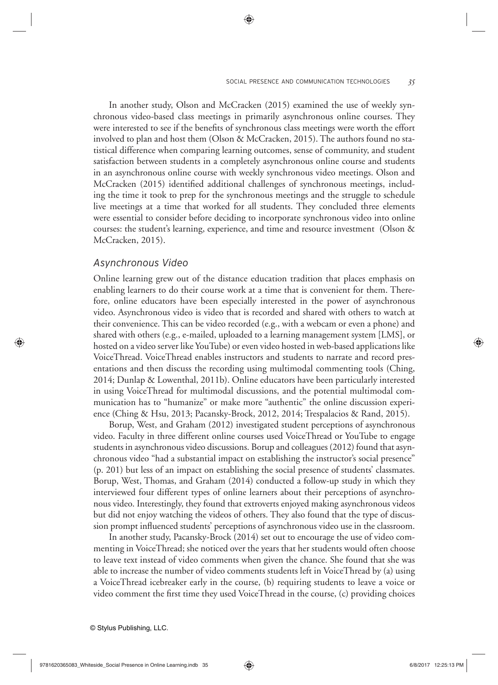In another study, Olson and McCracken (2015) examined the use of weekly synchronous video-based class meetings in primarily asynchronous online courses. They were interested to see if the benefits of synchronous class meetings were worth the effort involved to plan and host them (Olson & McCracken, 2015). The authors found no statistical difference when comparing learning outcomes, sense of community, and student satisfaction between students in a completely asynchronous online course and students in an asynchronous online course with weekly synchronous video meetings. Olson and McCracken (2015) identified additional challenges of synchronous meetings, including the time it took to prep for the synchronous meetings and the struggle to schedule live meetings at a time that worked for all students. They concluded three elements were essential to consider before deciding to incorporate synchronous video into online courses: the student's learning, experience, and time and resource investment (Olson & McCracken, 2015).

#### *Asynchronous Video*

Online learning grew out of the distance education tradition that places emphasis on enabling learners to do their course work at a time that is convenient for them. Therefore, online educators have been especially interested in the power of asynchronous video. Asynchronous video is video that is recorded and shared with others to watch at their convenience. This can be video recorded (e.g., with a webcam or even a phone) and shared with others (e.g., e-mailed, uploaded to a learning management system [LMS], or hosted on a video server like YouTube) or even video hosted in web-based applications like VoiceThread. VoiceThread enables instructors and students to narrate and record presentations and then discuss the recording using multimodal commenting tools (Ching, 2014; Dunlap & Lowenthal, 2011b). Online educators have been particularly interested in using VoiceThread for multimodal discussions, and the potential multimodal communication has to "humanize" or make more "authentic" the online discussion experience (Ching & Hsu, 2013; Pacansky-Brock, 2012, 2014; Trespalacios & Rand, 2015).

Borup, West, and Graham (2012) investigated student perceptions of asynchronous video. Faculty in three different online courses used VoiceThread or YouTube to engage students in asynchronous video discussions. Borup and colleagues (2012) found that asynchronous video "had a substantial impact on establishing the instructor's social presence" (p. 201) but less of an impact on establishing the social presence of students' classmates. Borup, West, Thomas, and Graham (2014) conducted a follow-up study in which they interviewed four different types of online learners about their perceptions of asynchronous video. Interestingly, they found that extroverts enjoyed making asynchronous videos but did not enjoy watching the videos of others. They also found that the type of discussion prompt influenced students' perceptions of asynchronous video use in the classroom.

In another study, Pacansky-Brock (2014) set out to encourage the use of video commenting in VoiceThread; she noticed over the years that her students would often choose to leave text instead of video comments when given the chance. She found that she was able to increase the number of video comments students left in VoiceThread by (a) using a VoiceThread icebreaker early in the course, (b) requiring students to leave a voice or video comment the first time they used VoiceThread in the course, (c) providing choices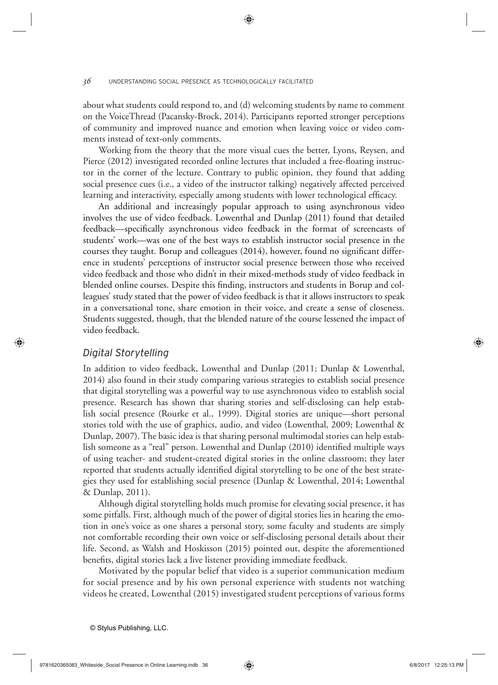about what students could respond to, and (d) welcoming students by name to comment on the VoiceThread (Pacansky-Brock, 2014). Participants reported stronger perceptions of community and improved nuance and emotion when leaving voice or video comments instead of text-only comments.

Working from the theory that the more visual cues the better, Lyons, Reysen, and Pierce (2012) investigated recorded online lectures that included a free-floating instructor in the corner of the lecture. Contrary to public opinion, they found that adding social presence cues (i.e., a video of the instructor talking) negatively affected perceived learning and interactivity, especially among students with lower technological efficacy.

An additional and increasingly popular approach to using asynchronous video involves the use of video feedback. Lowenthal and Dunlap (2011) found that detailed feedback—specifically asynchronous video feedback in the format of screencasts of students' work—was one of the best ways to establish instructor social presence in the courses they taught. Borup and colleagues (2014), however, found no significant difference in students' perceptions of instructor social presence between those who received video feedback and those who didn't in their mixed-methods study of video feedback in blended online courses. Despite this finding, instructors and students in Borup and colleagues' study stated that the power of video feedback is that it allows instructors to speak in a conversational tone, share emotion in their voice, and create a sense of closeness. Students suggested, though, that the blended nature of the course lessened the impact of video feedback.

## *Digital Storytelling*

In addition to video feedback, Lowenthal and Dunlap (2011; Dunlap & Lowenthal, 2014) also found in their study comparing various strategies to establish social presence that digital storytelling was a powerful way to use asynchronous video to establish social presence. Research has shown that sharing stories and self-disclosing can help establish social presence (Rourke et al., 1999). Digital stories are unique—short personal stories told with the use of graphics, audio, and video (Lowenthal, 2009; Lowenthal & Dunlap, 2007). The basic idea is that sharing personal multimodal stories can help establish someone as a "real" person. Lowenthal and Dunlap (2010) identified multiple ways of using teacher- and student-created digital stories in the online classroom; they later reported that students actually identified digital storytelling to be one of the best strategies they used for establishing social presence (Dunlap & Lowenthal, 2014; Lowenthal & Dunlap, 2011).

Although digital storytelling holds much promise for elevating social presence, it has some pitfalls. First, although much of the power of digital stories lies in hearing the emotion in one's voice as one shares a personal story, some faculty and students are simply not comfortable recording their own voice or self-disclosing personal details about their life. Second, as Walsh and Hoskisson (2015) pointed out, despite the aforementioned benefits, digital stories lack a live listener providing immediate feedback.

Motivated by the popular belief that video is a superior communication medium for social presence and by his own personal experience with students not watching videos he created, Lowenthal (2015) investigated student perceptions of various forms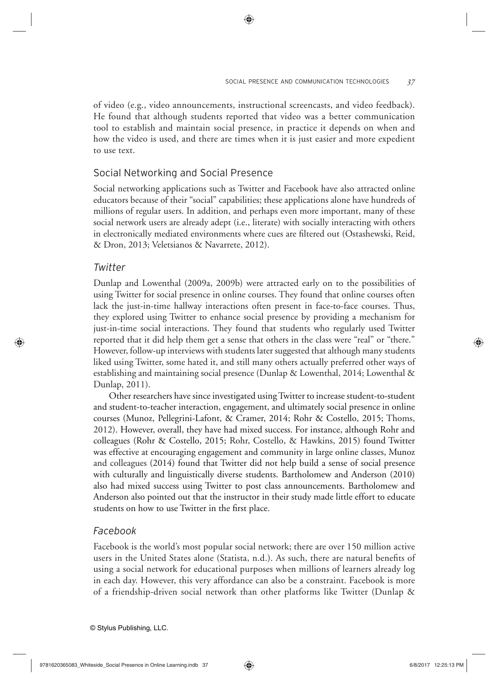of video (e.g., video announcements, instructional screencasts, and video feedback). He found that although students reported that video was a better communication tool to establish and maintain social presence, in practice it depends on when and how the video is used, and there are times when it is just easier and more expedient to use text.

## Social Networking and Social Presence

Social networking applications such as Twitter and Facebook have also attracted online educators because of their "social" capabilities; these applications alone have hundreds of millions of regular users. In addition, and perhaps even more important, many of these social network users are already adept (i.e., literate) with socially interacting with others in electronically mediated environments where cues are filtered out (Ostashewski, Reid, & Dron, 2013; Veletsianos & Navarrete, 2012).

## *Twitter*

Dunlap and Lowenthal (2009a, 2009b) were attracted early on to the possibilities of using Twitter for social presence in online courses. They found that online courses often lack the just-in-time hallway interactions often present in face-to-face courses. Thus, they explored using Twitter to enhance social presence by providing a mechanism for just-in-time social interactions. They found that students who regularly used Twitter reported that it did help them get a sense that others in the class were "real" or "there." However, follow-up interviews with students later suggested that although many students liked using Twitter, some hated it, and still many others actually preferred other ways of establishing and maintaining social presence (Dunlap & Lowenthal, 2014; Lowenthal & Dunlap, 2011).

Other researchers have since investigated using Twitter to increase student-to- student and student-to-teacher interaction, engagement, and ultimately social presence in online courses (Munoz, Pellegrini-Lafont, & Cramer, 2014; Rohr & Costello, 2015; Thoms, 2012). However, overall, they have had mixed success. For instance, although Rohr and colleagues (Rohr & Costello, 2015; Rohr, Costello, & Hawkins, 2015) found Twitter was effective at encouraging engagement and community in large online classes, Munoz and colleagues (2014) found that Twitter did not help build a sense of social presence with culturally and linguistically diverse students. Bartholomew and Anderson (2010) also had mixed success using Twitter to post class announcements. Bartholomew and Anderson also pointed out that the instructor in their study made little effort to educate students on how to use Twitter in the first place.

## *Facebook*

Facebook is the world's most popular social network; there are over 150 million active users in the United States alone (Statista, n.d.). As such, there are natural benefits of using a social network for educational purposes when millions of learners already log in each day. However, this very affordance can also be a constraint. Facebook is more of a friendship-driven social network than other platforms like Twitter (Dunlap &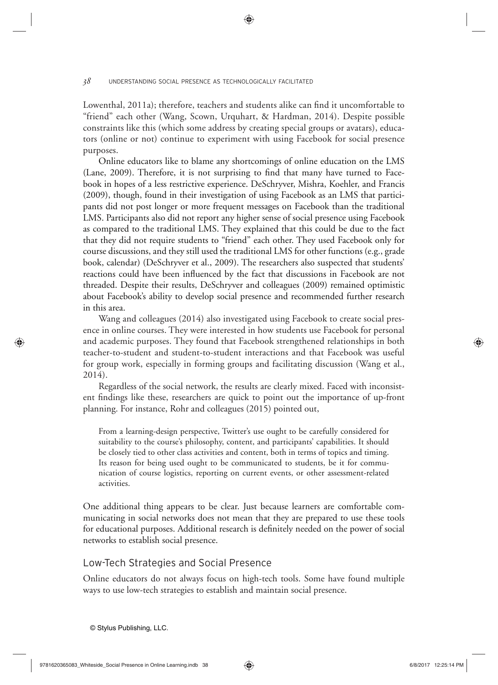Lowenthal, 2011a); therefore, teachers and students alike can find it uncomfortable to "friend" each other (Wang, Scown, Urquhart, & Hardman, 2014). Despite possible constraints like this (which some address by creating special groups or avatars), educators (online or not) continue to experiment with using Facebook for social presence purposes.

Online educators like to blame any shortcomings of online education on the LMS (Lane, 2009). Therefore, it is not surprising to find that many have turned to Facebook in hopes of a less restrictive experience. DeSchryver, Mishra, Koehler, and Francis (2009), though, found in their investigation of using Facebook as an LMS that participants did not post longer or more frequent messages on Facebook than the traditional LMS. Participants also did not report any higher sense of social presence using Facebook as compared to the traditional LMS. They explained that this could be due to the fact that they did not require students to "friend" each other. They used Facebook only for course discussions, and they still used the traditional LMS for other functions (e.g., grade book, calendar) (DeSchryver et al., 2009). The researchers also suspected that students' reactions could have been influenced by the fact that discussions in Facebook are not threaded. Despite their results, DeSchryver and colleagues (2009) remained optimistic about Facebook's ability to develop social presence and recommended further research in this area.

Wang and colleagues (2014) also investigated using Facebook to create social presence in online courses. They were interested in how students use Facebook for personal and academic purposes. They found that Facebook strengthened relationships in both teacher-to-student and student-to-student interactions and that Facebook was useful for group work, especially in forming groups and facilitating discussion (Wang et al., 2014).

Regardless of the social network, the results are clearly mixed. Faced with inconsistent findings like these, researchers are quick to point out the importance of up-front planning. For instance, Rohr and colleagues (2015) pointed out,

From a learning-design perspective, Twitter's use ought to be carefully considered for suitability to the course's philosophy, content, and participants' capabilities. It should be closely tied to other class activities and content, both in terms of topics and timing. Its reason for being used ought to be communicated to students, be it for communication of course logistics, reporting on current events, or other assessment-related activities.

One additional thing appears to be clear. Just because learners are comfortable communicating in social networks does not mean that they are prepared to use these tools for educational purposes. Additional research is definitely needed on the power of social networks to establish social presence.

# Low-Tech Strategies and Social Presence

Online educators do not always focus on high-tech tools. Some have found multiple ways to use low-tech strategies to establish and maintain social presence.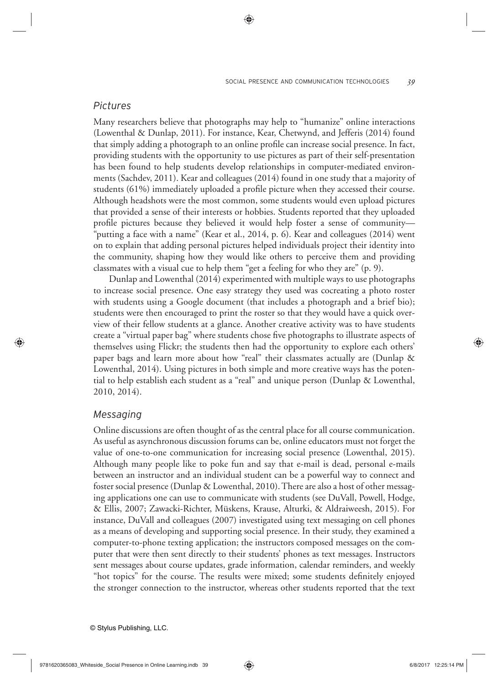## *Pictures*

Many researchers believe that photographs may help to "humanize" online interactions (Lowenthal & Dunlap, 2011). For instance, Kear, Chetwynd, and Jefferis (2014) found that simply adding a photograph to an online profile can increase social presence. In fact, providing students with the opportunity to use pictures as part of their self- presentation has been found to help students develop relationships in computer-mediated environments (Sachdev, 2011). Kear and colleagues (2014) found in one study that a majority of students  $(61\%)$  immediately uploaded a profile picture when they accessed their course. Although headshots were the most common, some students would even upload pictures that provided a sense of their interests or hobbies. Students reported that they uploaded profile pictures because they believed it would help foster a sense of community-"putting a face with a name" (Kear et al., 2014, p. 6). Kear and colleagues (2014) went on to explain that adding personal pictures helped individuals project their identity into the community, shaping how they would like others to perceive them and providing classmates with a visual cue to help them "get a feeling for who they are" (p. 9).

Dunlap and Lowenthal (2014) experimented with multiple ways to use photographs to increase social presence. One easy strategy they used was cocreating a photo roster with students using a Google document (that includes a photograph and a brief bio); students were then encouraged to print the roster so that they would have a quick overview of their fellow students at a glance. Another creative activity was to have students create a "virtual paper bag" where students chose five photographs to illustrate aspects of themselves using Flickr; the students then had the opportunity to explore each others' paper bags and learn more about how "real" their classmates actually are (Dunlap & Lowenthal, 2014). Using pictures in both simple and more creative ways has the potential to help establish each student as a "real" and unique person (Dunlap & Lowenthal, 2010, 2014).

## *Messaging*

Online discussions are often thought of as the central place for all course communication. As useful as asynchronous discussion forums can be, online educators must not forget the value of one-to-one communication for increasing social presence (Lowenthal, 2015). Although many people like to poke fun and say that e-mail is dead, personal e-mails between an instructor and an individual student can be a powerful way to connect and foster social presence (Dunlap & Lowenthal, 2010). There are also a host of other messaging applications one can use to communicate with students (see DuVall, Powell, Hodge, & Ellis, 2007; Zawacki-Richter, Mü skens, Krause, Alturki, & Aldraiweesh, 2015). For instance, DuVall and colleagues (2007) investigated using text messaging on cell phones as a means of developing and supporting social presence. In their study, they examined a computer-to-phone texting application; the instructors composed messages on the computer that were then sent directly to their students' phones as text messages. Instructors sent messages about course updates, grade information, calendar reminders, and weekly "hot topics" for the course. The results were mixed; some students definitely enjoyed the stronger connection to the instructor, whereas other students reported that the text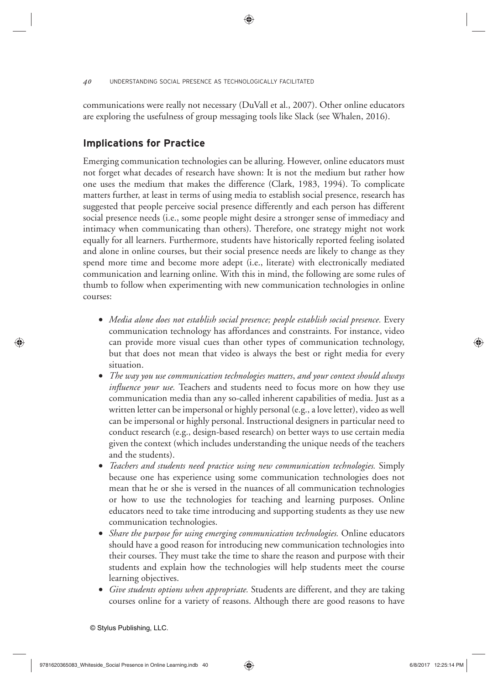communications were really not necessary (DuVall et al., 2007). Other online educators are exploring the usefulness of group messaging tools like Slack (see Whalen, 2016).

# **Implications for Practice**

Emerging communication technologies can be alluring. However, online educators must not forget what decades of research have shown: It is not the medium but rather how one uses the medium that makes the difference (Clark, 1983, 1994). To complicate matters further, at least in terms of using media to establish social presence, research has suggested that people perceive social presence differently and each person has different social presence needs (i.e., some people might desire a stronger sense of immediacy and intimacy when communicating than others). Therefore, one strategy might not work equally for all learners. Furthermore, students have historically reported feeling isolated and alone in online courses, but their social presence needs are likely to change as they spend more time and become more adept (i.e., literate) with electronically mediated communication and learning online. With this in mind, the following are some rules of thumb to follow when experimenting with new communication technologies in online courses:

- *Media alone does not establish social presence; people establish social presence.* Every communication technology has affordances and constraints. For instance, video can provide more visual cues than other types of communication technology, but that does not mean that video is always the best or right media for every situation.
- *The way you use communication technologies matters*, *and your context should always influence your use*. Teachers and students need to focus more on how they use communication media than any so-called inherent capabilities of media. Just as a written letter can be impersonal or highly personal (e.g., a love letter), video as well can be impersonal or highly personal. Instructional designers in particular need to conduct research (e.g., design-based research) on better ways to use certain media given the context (which includes understanding the unique needs of the teachers and the students).
- *Teachers and students need practice using new communication technologies.* Simply because one has experience using some communication technologies does not mean that he or she is versed in the nuances of all communication technologies or how to use the technologies for teaching and learning purposes. Online educators need to take time introducing and supporting students as they use new communication technologies.
- *Share the purpose for using emerging communication technologies.* Online educators should have a good reason for introducing new communication technologies into their courses. They must take the time to share the reason and purpose with their students and explain how the technologies will help students meet the course learning objectives.
- *Give students options when appropriate.* Students are different, and they are taking courses online for a variety of reasons. Although there are good reasons to have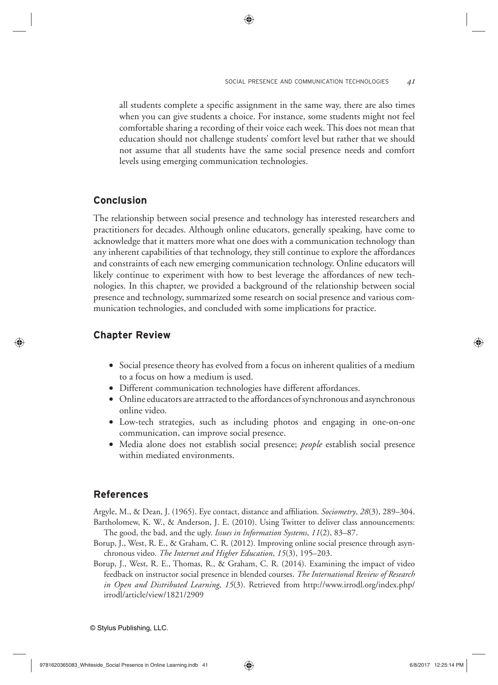all students complete a specific assignment in the same way, there are also times when you can give students a choice. For instance, some students might not feel comfortable sharing a recording of their voice each week. This does not mean that education should not challenge students' comfort level but rather that we should not assume that all students have the same social presence needs and comfort levels using emerging communication technologies.

# **Conclusion**

The relationship between social presence and technology has interested researchers and practitioners for decades. Although online educators, generally speaking, have come to acknowledge that it matters more what one does with a communication technology than any inherent capabilities of that technology, they still continue to explore the affordances and constraints of each new emerging communication technology. Online educators will likely continue to experiment with how to best leverage the affordances of new technologies. In this chapter, we provided a background of the relationship between social presence and technology, summarized some research on social presence and various communication technologies, and concluded with some implications for practice.

# **Chapter Review**

- Social presence theory has evolved from a focus on inherent qualities of a medium to a focus on how a medium is used.
- Different communication technologies have different affordances.
- Online educators are attracted to the affordances of synchronous and asynchronous online video.
- Low-tech strategies, such as including photos and engaging in one-on-one communication, can improve social presence.
- Media alone does not establish social presence; *people* establish social presence within mediated environments.

# **References**

Argyle, M., & Dean, J. (1965). Eye contact, distance and affiliation. *Sociometry*, 28(3), 289–304. Bartholomew, K. W., & Anderson, J. E. (2010). Using Twitter to deliver class announcements:

- The good, the bad, and the ugly. *Issues in Information Systems*, *11*(2), 83–87.
- Borup, J., West, R. E., & Graham, C. R. (2012). Improving online social presence through asynchronous video. *The Internet and Higher Education*, *15*(3), 195–203.
- Borup, J., West, R. E., Thomas, R., & Graham, C. R. (2014). Examining the impact of video feedback on instructor social presence in blended courses. *The International Review of Research in Open and Distributed Learning*, *15*(3). Retrieved from http://www.irrodl.org/index.php/ irrodl/article/view/1821/2909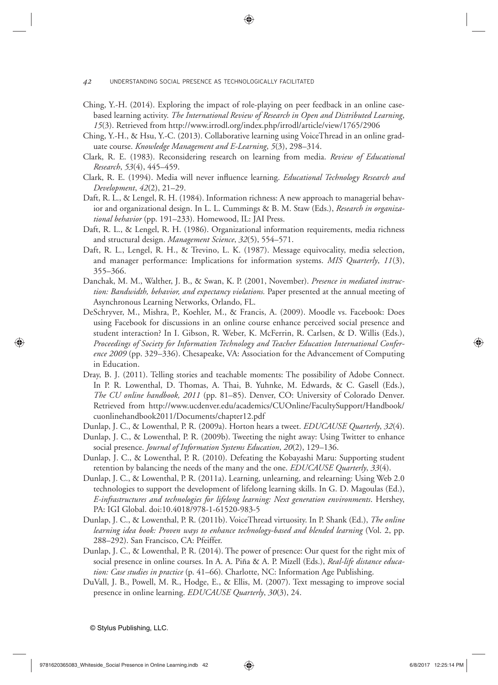- Ching, Y.-H. (2014). Exploring the impact of role-playing on peer feedback in an online casebased learning activity. *The International Review of Research in Open and Distributed Learning*, *15*(3). Retrieved from http://www.irrodl.org/index.php/irrodl/article/view/1765/2906
- Ching, Y.-H., & Hsu, Y.-C. (2013). Collaborative learning using VoiceThread in an online graduate course. *Knowledge Management and E-Learning*, *5*(3), 298–314.
- Clark, R. E. (1983). Reconsidering research on learning from media. *Review of Educational Research*, *53*(4), 445–459.
- Clark, R. E. (1994). Media will never influence learning. *Educational Technology Research and Development*, *42*(2), 21–29.
- Daft, R. L., & Lengel, R. H. (1984). Information richness: A new approach to managerial behavior and organizational design. In L. L. Cummings & B. M. Staw (Eds.), *Research in organizational behavior* (pp. 191–233). Homewood, IL: JAI Press.
- Daft, R. L., & Lengel, R. H. (1986). Organizational information requirements, media richness and structural design. *Management Science*, *32*(5), 554–571.
- Daft, R. L., Lengel, R. H., & Trevino, L. K. (1987). Message equivocality, media selection, and manager performance: Implications for information systems. *MIS Quarterly*, *11*(3), 355–366.
- Danchak, M. M., Walther, J. B., & Swan, K. P. (2001, November). *Presence in mediated instruction: Bandwidth, behavior, and expectancy violations.* Paper presented at the annual meeting of Asynchronous Learning Networks, Orlando, FL.
- DeSchryver, M., Mishra, P., Koehler, M., & Francis, A. (2009). Moodle vs. Facebook: Does using Facebook for discussions in an online course enhance perceived social presence and student interaction? In I. Gibson, R. Weber, K. McFerrin, R. Carlsen, & D. Willis (Eds.), *Proceedings of Society for Information Technology and Teacher Education International Conference 2009* (pp. 329–336). Chesapeake, VA: Association for the Advancement of Computing in Education.
- Dray, B. J. (2011). Telling stories and teachable moments: The possibility of Adobe Connect. In P. R. Lowenthal, D. Thomas, A. Thai, B. Yuhnke, M. Edwards, & C. Gasell (Eds.), *The CU online handbook, 2011* (pp. 81–85). Denver, CO: University of Colorado Denver. Retrieved from http://www.ucdenver.edu/academics/CUOnline/FacultySupport/Handbook/ cuonlinehandbook2011/Documents/chapter12.pdf
- Dunlap, J. C., & Lowenthal, P. R. (2009a). Horton hears a tweet. *EDUCAUSE Quarterly*, *32*(4).
- Dunlap, J. C., & Lowenthal, P. R. (2009b). Tweeting the night away: Using Twitter to enhance social presence. *Journal of Information Systems Education*, *20*(2), 129–136.
- Dunlap, J. C., & Lowenthal, P. R. (2010). Defeating the Kobayashi Maru: Supporting student retention by balancing the needs of the many and the one. *EDUCAUSE Quarterly*, *33*(4).
- Dunlap, J. C., & Lowenthal, P. R. (2011a). Learning, unlearning, and relearning: Using Web 2.0 technologies to support the development of lifelong learning skills. In G. D. Magoulas (Ed.), *E-infrastructures and technologies for lifelong learning: Next generation environments*. Hershey, PA: IGI Global. doi:10.4018/978-1-61520-983-5
- Dunlap, J. C., & Lowenthal, P. R. (2011b). VoiceThread virtuosity. In P. Shank (Ed.), *The online learning idea book: Proven ways to enhance technology-based and blended learning* (Vol. 2, pp. 288–292). San Francisco, CA: Pfeiffer.
- Dunlap, J. C., & Lowenthal, P. R. (2014). The power of presence: Our quest for the right mix of social presence in online courses. In A. A. Piña & A. P. Mizell (Eds.), *Real-life distance education: Case studies in practice* (p. 41–66)*.* Charlotte, NC: Information Age Publishing.
- DuVall, J. B., Powell, M. R., Hodge, E., & Ellis, M. (2007). Text messaging to improve social presence in online learning. *EDUCAUSE Quarterly*, *30*(3), 24.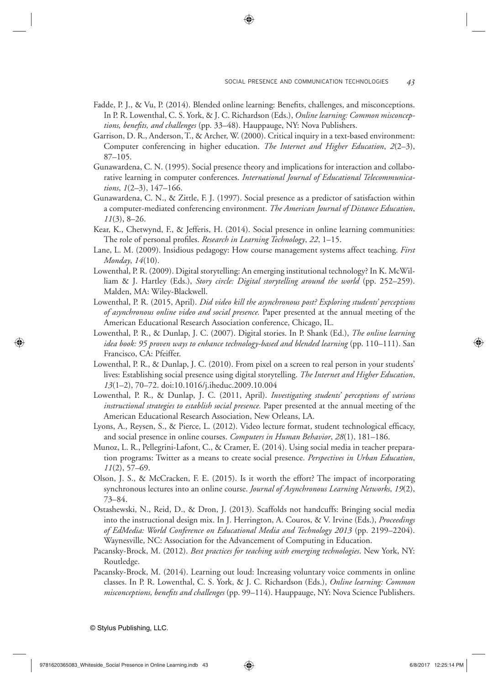- Fadde, P. J., & Vu, P. (2014). Blended online learning: Benefits, challenges, and misconceptions. In P. R. Lowenthal, C. S. York, & J. C. Richardson (Eds.), *Online learning: Common misconceptions, benefits, and challenges* (pp. 33–48). Hauppauge, NY: Nova Publishers.
- Garrison, D. R., Anderson, T., & Archer, W. (2000). Critical inquiry in a text-based environment: Computer conferencing in higher education. *The Internet and Higher Education*, *2*(2–3), 87–105.
- Gunawardena, C. N. (1995). Social presence theory and implications for interaction and collaborative learning in computer conferences. *International Journal of Educational Telecommunications*, *1*(2–3), 147–166.
- Gunawardena, C. N., & Zittle, F. J. (1997). Social presence as a predictor of satisfaction within a computer-mediated conferencing environment. *The American Journal of Distance Education*, *11*(3), 8–26.
- Kear, K., Chetwynd, F., & Jefferis, H. (2014). Social presence in online learning communities: The role of personal profiles. *Research in Learning Technology*, 22, 1–15.
- Lane, L. M. (2009). Insidious pedagogy: How course management systems affect teaching. *First Monday*, *14*(10).
- Lowenthal, P. R. (2009). Digital storytelling: An emerging institutional technology? In K. McWilliam & J. Hartley (Eds.), *Story circle: Digital storytelling around the world* (pp. 252–259). Malden, MA: Wiley-Blackwell.
- Lowenthal, P. R. (2015, April). *Did video kill the asynchronous post? Exploring students' perceptions of asynchronous online video and social presence.* Paper presented at the annual meeting of the American Educational Research Association conference, Chicago, IL.
- Lowenthal, P. R., & Dunlap, J. C. (2007). Digital stories. In P. Shank (Ed.), *The online learning idea book: 95 proven ways to enhance technology-based and blended learning* (pp. 110–111). San Francisco, CA: Pfeiffer.
- Lowenthal, P. R., & Dunlap, J. C. (2010). From pixel on a screen to real person in your students' lives: Establishing social presence using digital storytelling. *The Internet and Higher Education*, *13*(1–2), 70–72. doi:10.1016/j.iheduc.2009.10.004
- Lowenthal, P. R., & Dunlap, J. C. (2011, April). *Investigating students' perceptions of various instructional strategies to establish social presence.* Paper presented at the annual meeting of the American Educational Research Association, New Orleans, LA.
- Lyons, A., Reysen, S., & Pierce, L. (2012). Video lecture format, student technological efficacy, and social presence in online courses. *Computers in Human Behavior*, *28*(1), 181–186.
- Munoz, L. R., Pellegrini-Lafont, C., & Cramer, E. (2014). Using social media in teacher preparation programs: Twitter as a means to create social presence. *Perspectives in Urban Education*, *11*(2), 57–69.
- Olson, J. S., & McCracken, F. E. (2015). Is it worth the effort? The impact of incorporating synchronous lectures into an online course. *Journal of Asynchronous Learning Networks*, *19*(2), 73–84.
- Ostashewski, N., Reid, D., & Dron, J. (2013). Scaffolds not handcuffs: Bringing social media into the instructional design mix. In J. Herrington, A. Couros, & V. Irvine (Eds.), *Proceedings of EdMedia: World Conference on Educational Media and Technology 2013* (pp. 2199–2204). Waynesville, NC: Association for the Advancement of Computing in Education.
- Pacansky-Brock, M. (2012). *Best practices for teaching with emerging technologies*. New York, NY: Routledge.
- Pacansky-Brock, M. (2014). Learning out loud: Increasing voluntary voice comments in online classes. In P. R. Lowenthal, C. S. York, & J. C. Richardson (Eds.), *Online learning: Common misconceptions, benefits and challenges* (pp. 99–114). Hauppauge, NY: Nova Science Publishers.